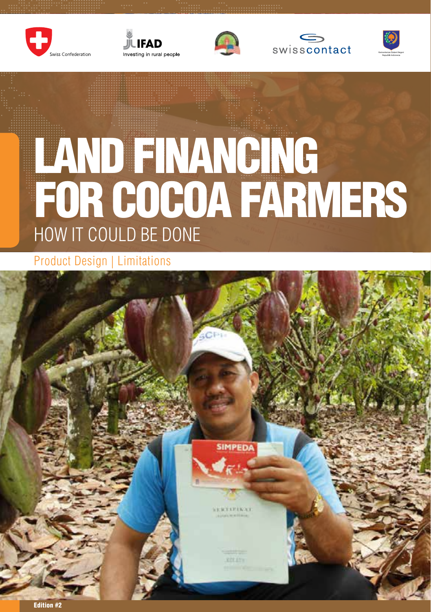









# LAND FINANCING FOR COCOA FARMERS HOW IT COULD BE DONE

Product Design | Limitations

**IMPEDA** 

Edition #2

Land Financing for Cocoa Farmers – How it could be done Land Financing for Cocoa Farmers – How it could be done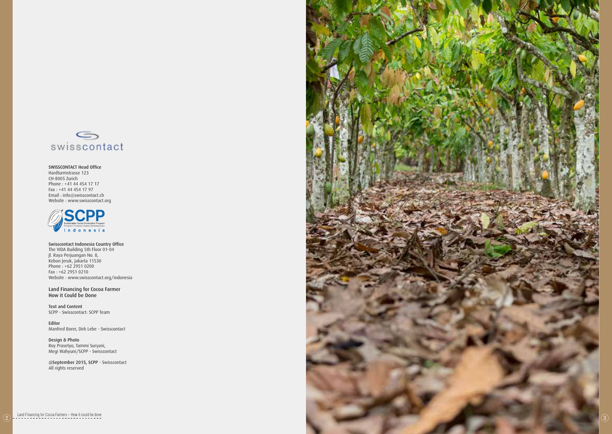

SWISSCONTACT Head Office Hardturmstrasse 123 CH-8005 Zurich Phone : +41 44 454 17 17 Fax : +41 44 454 17 97 Email : info@swisscontact.ch Website : www.swisscontact.org



Swisscontact Indonesia Country Office The VIDA Building 5th Floor 01-04 Jl. Raya Perjuangan No. 8, Kebon Jeruk, Jakarta 11530 Phone : +62 2951 0200 Fax : +62 2951 0210 Website : www.swisscontact.org/indonesia

Land Financing for Cocoa Farmer How it Could be Done

Text and Content SCPP - Swisscontact: SCPP Team

Editor Manfred Borer, Dirk Lebe - Swisscontact

Design & Photo Roy Prasetyo, Tammi Suryani, Megi Wahyuni/SCPP - Swisscontact

@September 2015, SCPP - Swisscontact All rights reserved



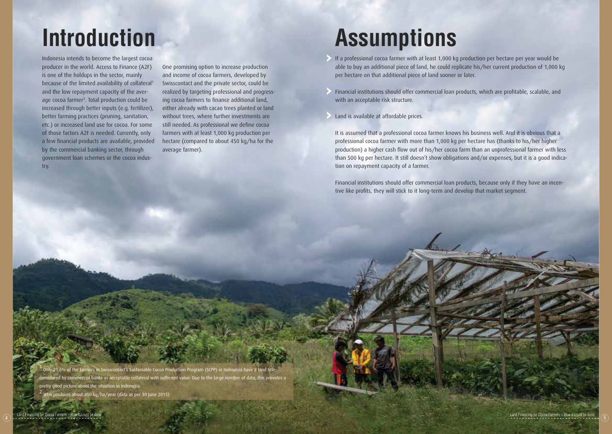Indonesia intends to become the largest cocoa producer in the world. Access to Finance (A2F) is one of the holdups in the sector, mainly because of the limited availability of collateral<sup>1</sup> and the low repayment capacity of the average cocoa farmer<sup>2</sup>. Total production could be increased through better inputs (e.g. fertilizer), better farming practices (pruning, sanitation, etc.) or increased land use for cocoa. For some of those factors A2F is needed. Currently, only a few financial products are available, provided by the commercial banking sector, through government loan schemes or the cocoa industry.

One promising option to increase production and income of cocoa farmers, developed by Swisscontact and the private sector, could be realized by targeting professional and progressing cocoa farmers to finance additional land, either already with cacao trees planted or land without trees, where further investments are still needed. As professional we define cocoa farmers with at least 1,000 kg production per hectare (compared to about 450 kg/ha for the average farmer).

### **Introduction Assumptions**

- If a professional cocoa farmer with at least 1,000 kg production per hectare per year would be able to buy an additional piece of land, he could replicate his/her current production of 1,000 kg per hectare on that additional piece of land sooner or later.
- Financial institutions should offer commercial loan products, which are profitable, scalable, and with an acceptable risk structure.
- Land is available at affordable prices.

It is assumed that a professional cocoa farmer knows his business well. And it is obvious that a professional cocoa farmer with more than 1,000 kg per hectare has (thanks to his/her higher production) a higher cash flow out of his/her cocoa farm than an unprofessional farmer with less than 500 kg per hectare. It still doesn't show obligations and/or expenses, but it is a good indication on repayment capacity of a farmer.

Financial institutions should offer commercial loan products, because only if they have an incentive like profits, they will stick to it long-term and develop that market segment.

1 Only 21.6% of the farmers in Swisscontact's Sustainable Cocoa Production Program (SCPP) in Indonesia have a land title; considered by commercial banks as acceptable collateral with sufficient value. Due to the large number of data, this provides a pretty good picture about the situation in Indonesia. 2 Who produces about 450 kg/ha/year (data as per 30 June 2015)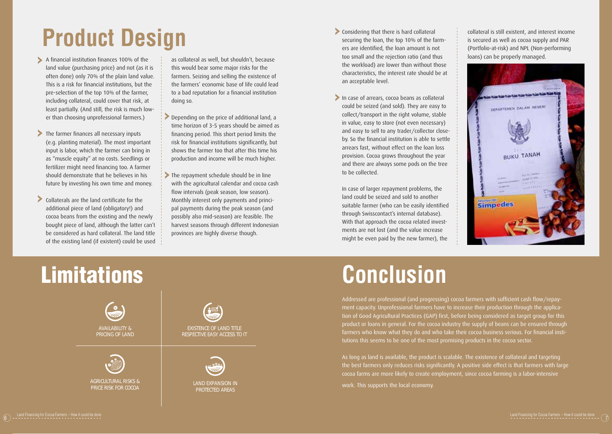## **Product Design**

- A financial institution finances 100% of the land value (purchasing price) and not (as it is often done) only 70% of the plain land value. This is a risk for financial institutions, but the pre-selection of the top 10% of the farmer, including collateral, could cover that risk, at least partially. (And still, the risk is much lower than choosing unprofessional farmers.)
- The farmer finances all necessary inputs (e.g. planting material). The most important input is labor, which the farmer can bring in as "muscle equity" at no costs. Seedlings or fertilizer might need financing too. A farmer should demonstrate that he believes in his future by investing his own time and money.
- Collaterals are the land certificate for the additional piece of land (obligatory!) and cocoa beans from the existing and the newly bought piece of land, although the latter can't be considered as hard collateral. The land title of the existing land (if existent) could be used

as collateral as well, but shouldn't, because this would bear some major risks for the farmers. Seizing and selling the existence of the farmers' economic base of life could lead to a bad reputation for a financial institution doing so.

- Depending on the price of additional land, a time horizon of 3-5 years should be aimed as financing period. This short period limits the risk for financial institutions significantly, but shows the farmer too that after this time his production and income will be much higher.
- The repayment schedule should be in line with the agricultural calendar and cocoa cash flow intervals (peak season, low season). Monthly interest only payments and principal payments during the peak season (and possibly also mid-season) are feasible. The harvest seasons through different Indonesian provinces are highly diverse though.
- Considering that there is hard collateral securing the loan, the top 10% of the farmers are identified, the loan amount is not too small and the rejection ratio (and thus the workload) are lower than without those characteristics, the interest rate should be at an acceptable level.
- In case of arrears, cocoa beans as collateral could be seized (and sold). They are easy to collect/transport in the right volume, stable in value, easy to store (not even necessary) and easy to sell to any trader/collector closeby. So the financial institution is able to settle arrears fast, without effect on the loan loss provision. Cocoa grows throughout the year and there are always some pods on the tree to be collected.

In case of larger repayment problems, the land could be seized and sold to another suitable farmer (who can be easily identified through Swisscontact's internal database). With that approach the cocoa related investments are not lost (and the value increase might be even paid by the new farmer), the

collateral is still existent, and interest income is secured as well as cocoa supply and PAR (Portfolio-at-risk) and NPL (Non-performing loans) can be properly managed.



### $\mathbf{s}$  and  $\mathbf{s}$  $tions$ **Limitations**



### **Conclusion**

Addressed are professional (and progressing) cocoa farmers with sufficient cash flow/repayment capacity. Unprofessional farmers have to increase their production through the application of Good Agricultural Practices (GAP) first, before being considered as target group for this product or loans in general. For the cocoa industry the supply of beans can be ensured through farmers who know what they do and who take their cocoa business serious. For financial institutions this seems to be one of the most promising products in the cocoa sector.

As long as land is available, the product is scalable. The existence of collateral and targeting the best farmers only reduces risks significantly. A positive side effect is that farmers with large cocoa farms are more likely to create employment, since cocoa farming is a labor-intensive

work. This supports the local economy.